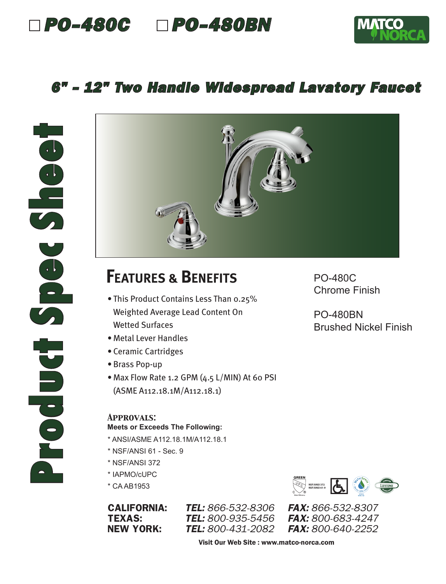## *PO-480C PO-480BN*



### *6" - 12" Two Handle Widespread Lavatory Faucet*



# **FEATURES & BENEFITS**

- This Product Contains Less Than 0.25% Weighted Average Lead Content On Wetted Surfaces
- Metal Lever Handles
- Ceramic Cartridges
- Brass Pop-up
- Max Flow Rate 1.2 GPM (4.5 L/MIN) At 60 PSI (ASME A112.18.1M/A112.18.1)

#### *Approvals:*

#### **Meets or Exceeds The Following:**

- \* ANSI/ASME A112.18.1M/A112.18.1
- \* NSF/ANSI 61 Sec. 9
- \* NSF/ANSI 372
- \* IAPMO/cUPC
- \* CA AB1953

CALIFORNIA: *TEL: 866-532-8306 FAX: 866-532-8307* **TEL:** 800-935-5456 NEW YORK: *TEL: 800-431-2082 FAX: 800-640-2252*

PO-480C Chrome Finish

PO-480BN Brushed Nickel Finish



Visit Our Web Site : www.matco-norca.com